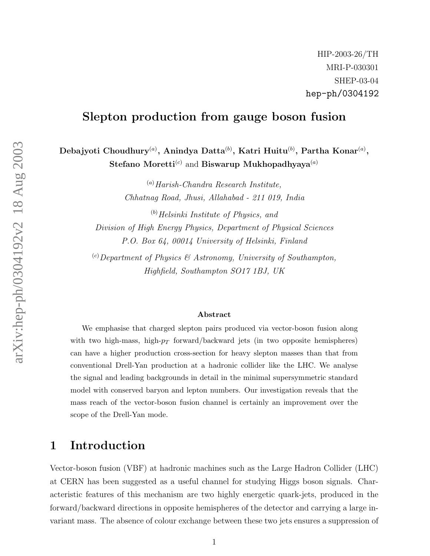# Slepton production from gauge boson fusion

Debajyoti Choudhury $^{(a)}$ , Anindya Datta $^{(b)}$ , Katri Huitu $^{(b)}$ , Partha Konar $^{(a)},$ Stefano Moretti ${}^{(c)}$  and Biswarup Mukhopadhyaya ${}^{(a)}$ 

> ( a )Harish-Chandra Research Institute, Chhatnag Road, Jhusi, Allahabad - 211 019, India

 $<sup>(b)</sup> Helsinki Institute of Physics, and$ </sup> Division of High Energy Physics, Department of Physical Sciences P.O. Box 64, 00014 University of Helsinki, Finland

 $\mathcal{L}^{(c)}$ Department of Physics & Astronomy, University of Southampton, Highfield, Southampton SO17 1BJ, UK

#### Abstract

We emphasise that charged slepton pairs produced via vector-boson fusion along with two high-mass, high- $p_T$  forward/backward jets (in two opposite hemispheres) can have a higher production cross-section for heavy slepton masses than that from conventional Drell-Yan production at a hadronic collider like the LHC. We analyse the signal and leading backgrounds in detail in the minimal supersymmetric standard model with conserved baryon and lepton numbers. Our investigation reveals that the mass reach of the vector-boson fusion channel is certainly an improvement over the scope of the Drell-Yan mode.

# 1 Introduction

Vector-boson fusion (VBF) at hadronic machines such as the Large Hadron Collider (LHC) at CERN has been suggested as a useful channel for studying Higgs boson signals. Characteristic features of this mechanism are two highly energetic quark-jets, produced in the forward/backward directions in opposite hemispheres of the detector and carrying a large invariant mass. The absence of colour exchange between these two jets ensures a suppression of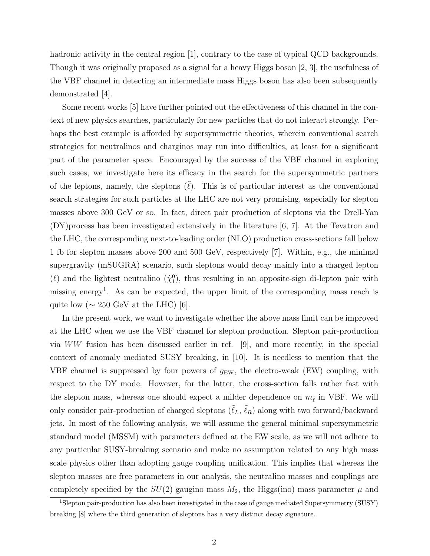hadronic activity in the central region [1], contrary to the case of typical QCD backgrounds. Though it was originally proposed as a signal for a heavy Higgs boson [2, 3], the usefulness of the VBF channel in detecting an intermediate mass Higgs boson has also been subsequently demonstrated [4].

Some recent works [5] have further pointed out the effectiveness of this channel in the context of new physics searches, particularly for new particles that do not interact strongly. Perhaps the best example is afforded by supersymmetric theories, wherein conventional search strategies for neutralinos and charginos may run into difficulties, at least for a significant part of the parameter space. Encouraged by the success of the VBF channel in exploring such cases, we investigate here its efficacy in the search for the supersymmetric partners of the leptons, namely, the sleptons  $(\tilde{\ell})$ . This is of particular interest as the conventional search strategies for such particles at the LHC are not very promising, especially for slepton masses above 300 GeV or so. In fact, direct pair production of sleptons via the Drell-Yan (DY)process has been investigated extensively in the literature [6, 7]. At the Tevatron and the LHC, the corresponding next-to-leading order (NLO) production cross-sections fall below 1 fb for slepton masses above 200 and 500 GeV, respectively [7]. Within, e.g., the minimal supergravity (mSUGRA) scenario, such sleptons would decay mainly into a charged lepton ( $\ell$ ) and the lightest neutralino  $(\tilde{\chi}_1^0)$ , thus resulting in an opposite-sign di-lepton pair with missing energy<sup>1</sup>. As can be expected, the upper limit of the corresponding mass reach is quite low ( $\sim 250$  GeV at the LHC) [6].

In the present work, we want to investigate whether the above mass limit can be improved at the LHC when we use the VBF channel for slepton production. Slepton pair-production via WW fusion has been discussed earlier in ref. [9], and more recently, in the special context of anomaly mediated SUSY breaking, in [10]. It is needless to mention that the VBF channel is suppressed by four powers of  $g_{EW}$ , the electro-weak (EW) coupling, with respect to the DY mode. However, for the latter, the cross-section falls rather fast with the slepton mass, whereas one should expect a milder dependence on  $m_{\tilde{\ell}}$  in VBF. We will only consider pair-production of charged sleptons  $(\tilde{\ell}_L, \tilde{\ell}_R)$  along with two forward/backward jets. In most of the following analysis, we will assume the general minimal supersymmetric standard model (MSSM) with parameters defined at the EW scale, as we will not adhere to any particular SUSY-breaking scenario and make no assumption related to any high mass scale physics other than adopting gauge coupling unification. This implies that whereas the slepton masses are free parameters in our analysis, the neutralino masses and couplings are completely specified by the  $SU(2)$  gaugino mass  $M_2$ , the Higgs(ino) mass parameter  $\mu$  and

<sup>1</sup>Slepton pair-production has also been investigated in the case of gauge mediated Supersymmetry (SUSY) breaking [8] where the third generation of sleptons has a very distinct decay signature.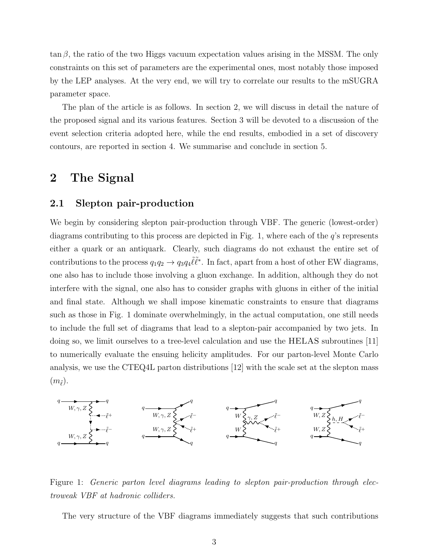$\tan \beta$ , the ratio of the two Higgs vacuum expectation values arising in the MSSM. The only constraints on this set of parameters are the experimental ones, most notably those imposed by the LEP analyses. At the very end, we will try to correlate our results to the mSUGRA parameter space.

The plan of the article is as follows. In section 2, we will discuss in detail the nature of the proposed signal and its various features. Section 3 will be devoted to a discussion of the event selection criteria adopted here, while the end results, embodied in a set of discovery contours, are reported in section 4. We summarise and conclude in section 5.

## 2 The Signal

### 2.1 Slepton pair-production

We begin by considering slepton pair-production through VBF. The generic (lowest-order) diagrams contributing to this process are depicted in Fig. 1, where each of the  $q$ 's represents either a quark or an antiquark. Clearly, such diagrams do not exhaust the entire set of contributions to the process  $q_1q_2 \to q_3q_4\tilde{\ell}\tilde{\ell}^*$ . In fact, apart from a host of other EW diagrams, one also has to include those involving a gluon exchange. In addition, although they do not interfere with the signal, one also has to consider graphs with gluons in either of the initial and final state. Although we shall impose kinematic constraints to ensure that diagrams such as those in Fig. 1 dominate overwhelmingly, in the actual computation, one still needs to include the full set of diagrams that lead to a slepton-pair accompanied by two jets. In doing so, we limit ourselves to a tree-level calculation and use the HELAS subroutines [11] to numerically evaluate the ensuing helicity amplitudes. For our parton-level Monte Carlo analysis, we use the CTEQ4L parton distributions [12] with the scale set at the slepton mass  $(m_{\tilde{\ell}})$ .



Figure 1: Generic parton level diagrams leading to slepton pair-production through electroweak VBF at hadronic colliders.

The very structure of the VBF diagrams immediately suggests that such contributions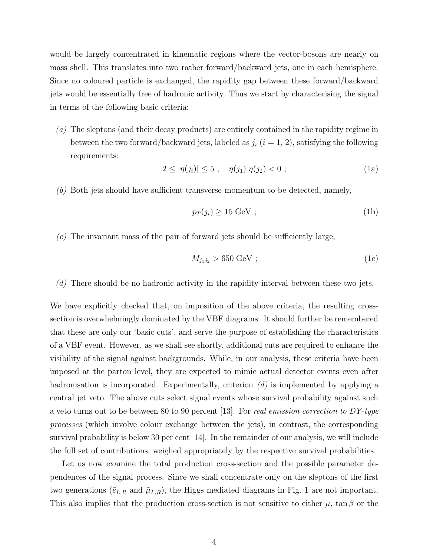would be largely concentrated in kinematic regions where the vector-bosons are nearly on mass shell. This translates into two rather forward/backward jets, one in each hemisphere. Since no coloured particle is exchanged, the rapidity gap between these forward/backward jets would be essentially free of hadronic activity. Thus we start by characterising the signal in terms of the following basic criteria:

(a) The sleptons (and their decay products) are entirely contained in the rapidity regime in between the two forward/backward jets, labeled as  $j_i$   $(i = 1, 2)$ , satisfying the following requirements:

$$
2 \le |\eta(j_i)| \le 5 \ , \quad \eta(j_1) \ \eta(j_2) < 0 \ ; \tag{1a}
$$

(b) Both jets should have sufficient transverse momentum to be detected, namely,

$$
p_T(j_i) \ge 15 \text{ GeV};\tag{1b}
$$

 $(c)$  The invariant mass of the pair of forward jets should be sufficiently large,

$$
M_{j_1j_2} > 650 \text{ GeV};\tag{1c}
$$

(d) There should be no hadronic activity in the rapidity interval between these two jets.

We have explicitly checked that, on imposition of the above criteria, the resulting crosssection is overwhelmingly dominated by the VBF diagrams. It should further be remembered that these are only our 'basic cuts', and serve the purpose of establishing the characteristics of a VBF event. However, as we shall see shortly, additional cuts are required to enhance the visibility of the signal against backgrounds. While, in our analysis, these criteria have been imposed at the parton level, they are expected to mimic actual detector events even after hadronisation is incorporated. Experimentally, criterion  $(d)$  is implemented by applying a central jet veto. The above cuts select signal events whose survival probability against such a veto turns out to be between 80 to 90 percent [13]. For real emission correction to  $DY$ -type processes (which involve colour exchange between the jets), in contrast, the corresponding survival probability is below 30 per cent [14]. In the remainder of our analysis, we will include the full set of contributions, weighed appropriately by the respective survival probabilities.

Let us now examine the total production cross-section and the possible parameter dependences of the signal process. Since we shall concentrate only on the sleptons of the first two generations ( $\tilde{e}_{L,R}$  and  $\tilde{\mu}_{L,R}$ ), the Higgs mediated diagrams in Fig. 1 are not important. This also implies that the production cross-section is not sensitive to either  $\mu$ , tan  $\beta$  or the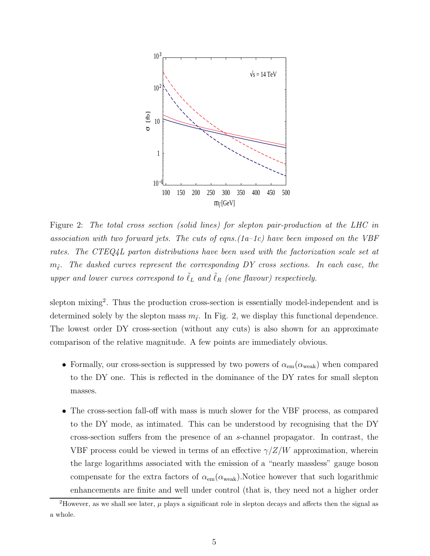

Figure 2: The total cross section (solid lines) for slepton pair-production at the LHC in association with two forward jets. The cuts of eqns.  $(1a-1c)$  have been imposed on the VBF rates. The CTEQ4L parton distributions have been used with the factorization scale set at  $m_{\tilde{\ell}}.$  The dashed curves represent the corresponding DY cross sections. In each case, the upper and lower curves correspond to  $\tilde{\ell}_L$  and  $\tilde{\ell}_R$  (one flavour) respectively.

slepton mixing<sup>2</sup>. Thus the production cross-section is essentially model-independent and is determined solely by the slepton mass  $m_{\tilde{\ell}}$ . In Fig. 2, we display this functional dependence. The lowest order DY cross-section (without any cuts) is also shown for an approximate comparison of the relative magnitude. A few points are immediately obvious.

- Formally, our cross-section is suppressed by two powers of  $\alpha_{em}(\alpha_{weak})$  when compared to the DY one. This is reflected in the dominance of the DY rates for small slepton masses.
- The cross-section fall-off with mass is much slower for the VBF process, as compared to the DY mode, as intimated. This can be understood by recognising that the DY cross-section suffers from the presence of an s-channel propagator. In contrast, the VBF process could be viewed in terms of an effective  $\gamma/Z/W$  approximation, wherein the large logarithms associated with the emission of a "nearly massless" gauge boson compensate for the extra factors of  $\alpha_{em}(\alpha_{weak})$ . Notice however that such logarithmic enhancements are finite and well under control (that is, they need not a higher order

<sup>&</sup>lt;sup>2</sup>However, as we shall see later,  $\mu$  plays a significant role in slepton decays and affects then the signal as a whole.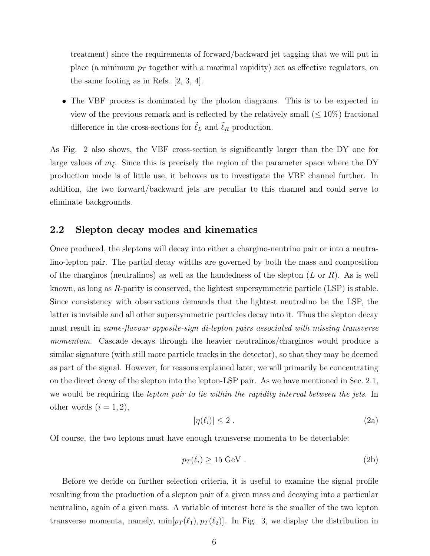treatment) since the requirements of forward/backward jet tagging that we will put in place (a minimum  $p_T$  together with a maximal rapidity) act as effective regulators, on the same footing as in Refs. [2, 3, 4].

• The VBF process is dominated by the photon diagrams. This is to be expected in view of the previous remark and is reflected by the relatively small  $(\leq 10\%)$  fractional difference in the cross-sections for  $\tilde{\ell}_L$  and  $\tilde{\ell}_R$  production.

As Fig. 2 also shows, the VBF cross-section is significantly larger than the DY one for large values of  $m_{\tilde{\ell}}$ . Since this is precisely the region of the parameter space where the DY production mode is of little use, it behoves us to investigate the VBF channel further. In addition, the two forward/backward jets are peculiar to this channel and could serve to eliminate backgrounds.

### 2.2 Slepton decay modes and kinematics

Once produced, the sleptons will decay into either a chargino-neutrino pair or into a neutralino-lepton pair. The partial decay widths are governed by both the mass and composition of the charginos (neutralinos) as well as the handedness of the slepton  $(L \text{ or } R)$ . As is well known, as long as  $R$ -parity is conserved, the lightest supersymmetric particle  $(LSP)$  is stable. Since consistency with observations demands that the lightest neutralino be the LSP, the latter is invisible and all other supersymmetric particles decay into it. Thus the slepton decay must result in same-flavour opposite-sign di-lepton pairs associated with missing transverse momentum. Cascade decays through the heavier neutralinos/charginos would produce a similar signature (with still more particle tracks in the detector), so that they may be deemed as part of the signal. However, for reasons explained later, we will primarily be concentrating on the direct decay of the slepton into the lepton-LSP pair. As we have mentioned in Sec. 2.1, we would be requiring the *lepton pair to lie within the rapidity interval between the jets*. In other words  $(i = 1, 2)$ ,

$$
|\eta(\ell_i)| \le 2 \tag{2a}
$$

Of course, the two leptons must have enough transverse momenta to be detectable:

$$
p_T(\ell_i) \ge 15 \text{ GeV}. \tag{2b}
$$

Before we decide on further selection criteria, it is useful to examine the signal profile resulting from the production of a slepton pair of a given mass and decaying into a particular neutralino, again of a given mass. A variable of interest here is the smaller of the two lepton transverse momenta, namely,  $\min[p_T(\ell_1), p_T(\ell_2)]$ . In Fig. 3, we display the distribution in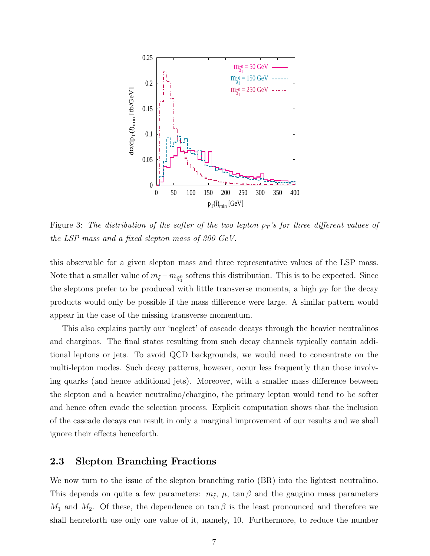

Figure 3: The distribution of the softer of the two lepton  $p_T$ 's for three different values of the LSP mass and a fixed slepton mass of 300 GeV.

this observable for a given slepton mass and three representative values of the LSP mass. Note that a smaller value of  $m_{\tilde{\ell}} - m_{\tilde{\chi}_{1}^{0}}$  softens this distribution. This is to be expected. Since the sleptons prefer to be produced with little transverse momenta, a high  $p_T$  for the decay products would only be possible if the mass difference were large. A similar pattern would appear in the case of the missing transverse momentum.

This also explains partly our 'neglect' of cascade decays through the heavier neutralinos and charginos. The final states resulting from such decay channels typically contain additional leptons or jets. To avoid QCD backgrounds, we would need to concentrate on the multi-lepton modes. Such decay patterns, however, occur less frequently than those involving quarks (and hence additional jets). Moreover, with a smaller mass difference between the slepton and a heavier neutralino/chargino, the primary lepton would tend to be softer and hence often evade the selection process. Explicit computation shows that the inclusion of the cascade decays can result in only a marginal improvement of our results and we shall ignore their effects henceforth.

#### 2.3 Slepton Branching Fractions

We now turn to the issue of the slepton branching ratio (BR) into the lightest neutralino. This depends on quite a few parameters:  $m_{\tilde{\ell}}, \mu$ ,  $\tan \beta$  and the gaugino mass parameters  $M_1$  and  $M_2$ . Of these, the dependence on  $\tan \beta$  is the least pronounced and therefore we shall henceforth use only one value of it, namely, 10. Furthermore, to reduce the number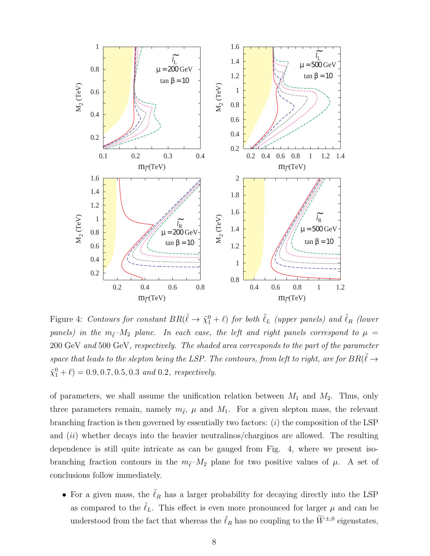

Figure 4: Contours for constant  $BR(\tilde{\ell} \to \tilde{\chi}_1^0 + \ell)$  for both  $\tilde{\ell}_L$  (upper panels) and  $\tilde{\ell}_R$  (lower panels) in the  $m_{\tilde{\ell}}-M_2$  plane. In each case, the left and right panels correspond to  $\mu$  = 200 GeV and 500 GeV, respectively. The shaded area corresponds to the part of the parameter space that leads to the slepton being the LSP. The contours, from left to right, are for  $BR(\tilde\ell \to \ell_1^+$  $\tilde{\chi}_1^0 + \ell$  = 0.9, 0.7, 0.5, 0.3 and 0.2, respectively.

of parameters, we shall assume the unification relation between  $M_1$  and  $M_2$ . Thus, only three parameters remain, namely  $m_{\tilde{\ell}}$ ,  $\mu$  and  $M_1$ . For a given slepton mass, the relevant branching fraction is then governed by essentially two factors:  $(i)$  the composition of the LSP and  $(ii)$  whether decays into the heavier neutralinos/charginos are allowed. The resulting dependence is still quite intricate as can be gauged from Fig. 4, where we present isobranching fraction contours in the  $m_{\tilde{\ell}}-M_2$  plane for two positive values of  $\mu$ . A set of conclusions follow immediately.

• For a given mass, the  $\tilde{\ell}_R$  has a larger probability for decaying directly into the LSP as compared to the  $\tilde{\ell}_L$ . This effect is even more pronounced for larger  $\mu$  and can be understood from the fact that whereas the  $\tilde{\ell}_R$  has no coupling to the  $\widetilde{W}^{\pm,0}$  eigenstates,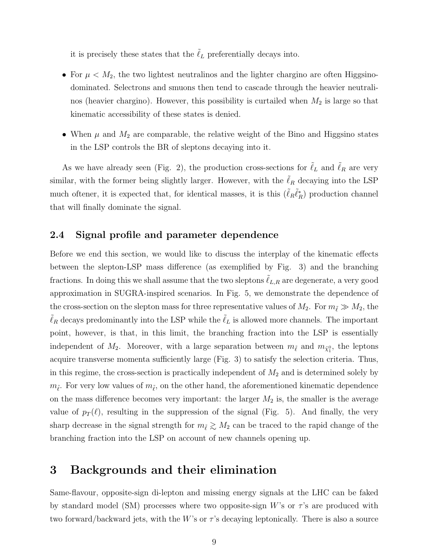it is precisely these states that the  $\ell_L$  preferentially decays into.

- For  $\mu < M_2$ , the two lightest neutralinos and the lighter chargino are often Higgsinodominated. Selectrons and smuons then tend to cascade through the heavier neutralinos (heavier chargino). However, this possibility is curtailed when  $M_2$  is large so that kinematic accessibility of these states is denied.
- When  $\mu$  and  $M_2$  are comparable, the relative weight of the Bino and Higgsino states in the LSP controls the BR of sleptons decaying into it.

As we have already seen (Fig. 2), the production cross-sections for  $\ell_L$  and  $\ell_R$  are very similar, with the former being slightly larger. However, with the  $\tilde{\ell}_R$  decaying into the LSP much oftener, it is expected that, for identical masses, it is this  $(\tilde{\ell}_R \tilde{\ell}_R^*)$  production channel that will finally dominate the signal.

### 2.4 Signal profile and parameter dependence

Before we end this section, we would like to discuss the interplay of the kinematic effects between the slepton-LSP mass difference (as exemplified by Fig. 3) and the branching fractions. In doing this we shall assume that the two sleptons  $\ell_{L,R}$  are degenerate, a very good approximation in SUGRA-inspired scenarios. In Fig. 5, we demonstrate the dependence of the cross-section on the slepton mass for three representative values of  $M_2$ . For  $m_{\tilde{\ell}} \gg M_2$ , the  $\tilde{\ell}_R$  decays predominantly into the LSP while the  $\tilde{\ell}_L$  is allowed more channels. The important point, however, is that, in this limit, the branching fraction into the LSP is essentially independent of  $M_2$ . Moreover, with a large separation between  $m_{\tilde{\ell}}$  and  $m_{\tilde{\chi}_1^0}$ , the leptons acquire transverse momenta sufficiently large (Fig. 3) to satisfy the selection criteria. Thus, in this regime, the cross-section is practically independent of  $M_2$  and is determined solely by  $m_{\tilde{\ell}}$ . For very low values of  $m_{\tilde{\ell}}$ , on the other hand, the aforementioned kinematic dependence on the mass difference becomes very important: the larger  $M_2$  is, the smaller is the average value of  $p_T(\ell)$ , resulting in the suppression of the signal (Fig. 5). And finally, the very sharp decrease in the signal strength for  $m_{\tilde{\ell}} \gtrsim M_2$  can be traced to the rapid change of the branching fraction into the LSP on account of new channels opening up.

### 3 Backgrounds and their elimination

Same-flavour, opposite-sign di-lepton and missing energy signals at the LHC can be faked by standard model (SM) processes where two opposite-sign W's or  $\tau$ 's are produced with two forward/backward jets, with the W's or  $\tau$ 's decaying leptonically. There is also a source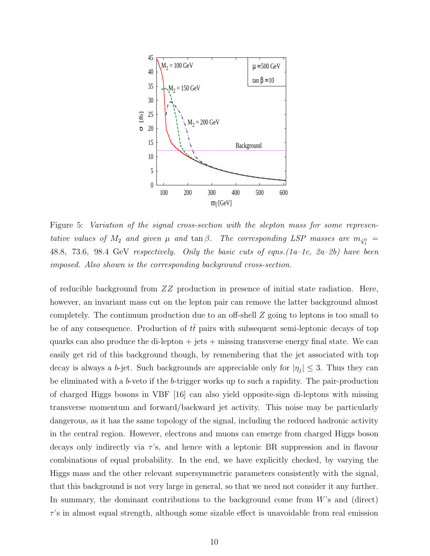

Figure 5: Variation of the signal cross-section with the slepton mass for some representative values of  $M_2$  and given  $\mu$  and  $\tan \beta$ . The corresponding LSP masses are  $m_{\tilde{\chi}^0_1} =$ 48.8, 73.6, 98.4 GeV respectively. Only the basic cuts of eqns.(1a–1c, 2a–2b) have been imposed. Also shown is the corresponding background cross-section.

of reducible background from ZZ production in presence of initial state radiation. Here, however, an invariant mass cut on the lepton pair can remove the latter background almost completely. The continuum production due to an off-shell Z going to leptons is too small to be of any consequence. Production of  $t\bar{t}$  pairs with subsequent semi-leptonic decays of top quarks can also produce the di-lepton  $+$  jets  $+$  missing transverse energy final state. We can easily get rid of this background though, by remembering that the jet associated with top decay is always a b-jet. Such backgrounds are appreciable only for  $|\eta_j| \leq 3$ . Thus they can be eliminated with a b-veto if the b-trigger works up to such a rapidity. The pair-production of charged Higgs bosons in VBF [16] can also yield opposite-sign di-leptons with missing transverse momentum and forward/backward jet activity. This noise may be particularly dangerous, as it has the same topology of the signal, including the reduced hadronic activity in the central region. However, electrons and muons can emerge from charged Higgs boson decays only indirectly via  $\tau$ 's, and hence with a leptonic BR suppression and in flavour combinations of equal probability. In the end, we have explicitly checked, by varying the Higgs mass and the other relevant supersymmetric parameters consistently with the signal, that this background is not very large in general, so that we need not consider it any further. In summary, the dominant contributions to the background come from W's and (direct)  $\tau$ 's in almost equal strength, although some sizable effect is unavoidable from real emission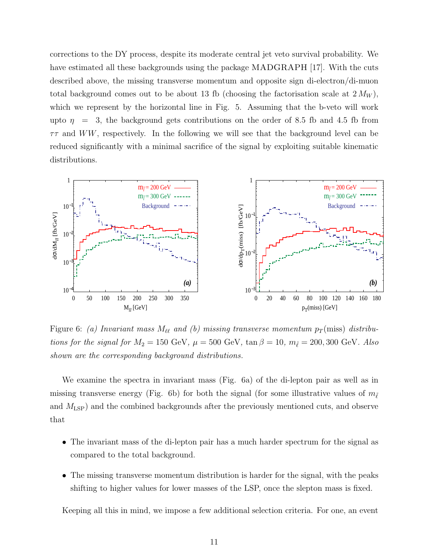corrections to the DY process, despite its moderate central jet veto survival probability. We have estimated all these backgrounds using the package MADGRAPH [17]. With the cuts described above, the missing transverse momentum and opposite sign di-electron/di-muon total background comes out to be about 13 fb (choosing the factorisation scale at  $2 M_W$ ), which we represent by the horizontal line in Fig. 5. Assuming that the b-veto will work upto  $\eta$  = 3, the background gets contributions on the order of 8.5 fb and 4.5 fb from  $\tau\tau$  and WW, respectively. In the following we will see that the background level can be reduced significantly with a minimal sacrifice of the signal by exploiting suitable kinematic distributions.



Figure 6: (a) Invariant mass  $M_{\ell\ell}$  and (b) missing transverse momentum  $p_T$ (miss) distributions for the signal for  $M_2 = 150 \text{ GeV}$ ,  $\mu = 500 \text{ GeV}$ ,  $\tan \beta = 10$ ,  $m_{\tilde{\ell}} = 200, 300 \text{ GeV}$ . Also shown are the corresponding background distributions.

We examine the spectra in invariant mass (Fig. 6a) of the di-lepton pair as well as in missing transverse energy (Fig. 6b) for both the signal (for some illustrative values of  $m_{\tilde{\ell}}$ and  $M_{\text{LSP}}$ ) and the combined backgrounds after the previously mentioned cuts, and observe that

- The invariant mass of the di-lepton pair has a much harder spectrum for the signal as compared to the total background.
- The missing transverse momentum distribution is harder for the signal, with the peaks shifting to higher values for lower masses of the LSP, once the slepton mass is fixed.

Keeping all this in mind, we impose a few additional selection criteria. For one, an event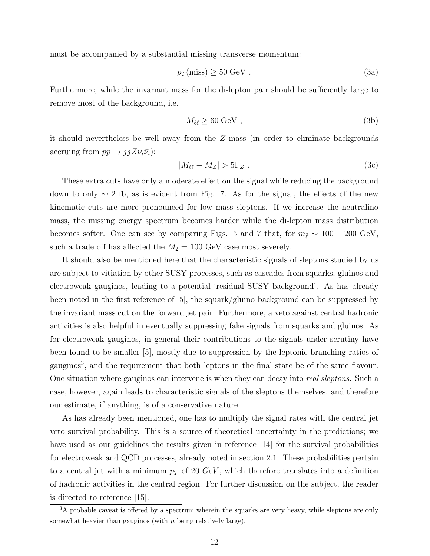must be accompanied by a substantial missing transverse momentum:

$$
p_T(\text{miss}) \ge 50 \text{ GeV}. \tag{3a}
$$

Furthermore, while the invariant mass for the di-lepton pair should be sufficiently large to remove most of the background, i.e.

$$
M_{\ell\ell} \ge 60 \text{ GeV} ,\qquad (3b)
$$

it should nevertheless be well away from the Z-mass (in order to eliminate backgrounds accruing from  $pp \rightarrow jjZ\nu_i\bar{\nu}_i$ :

$$
|M_{\ell\ell} - M_Z| > 5\Gamma_Z \tag{3c}
$$

These extra cuts have only a moderate effect on the signal while reducing the background down to only ∼ 2 fb, as is evident from Fig. 7. As for the signal, the effects of the new kinematic cuts are more pronounced for low mass sleptons. If we increase the neutralino mass, the missing energy spectrum becomes harder while the di-lepton mass distribution becomes softer. One can see by comparing Figs. 5 and 7 that, for  $m_{\tilde{\ell}} \sim 100 - 200 \text{ GeV}$ , such a trade off has affected the  $M_2 = 100 \text{ GeV}$  case most severely.

It should also be mentioned here that the characteristic signals of sleptons studied by us are subject to vitiation by other SUSY processes, such as cascades from squarks, gluinos and electroweak gauginos, leading to a potential 'residual SUSY background'. As has already been noted in the first reference of [5], the squark/gluino background can be suppressed by the invariant mass cut on the forward jet pair. Furthermore, a veto against central hadronic activities is also helpful in eventually suppressing fake signals from squarks and gluinos. As for electroweak gauginos, in general their contributions to the signals under scrutiny have been found to be smaller [5], mostly due to suppression by the leptonic branching ratios of gauginos<sup>3</sup>, and the requirement that both leptons in the final state be of the same flavour. One situation where gauginos can intervene is when they can decay into real sleptons. Such a case, however, again leads to characteristic signals of the sleptons themselves, and therefore our estimate, if anything, is of a conservative nature.

As has already been mentioned, one has to multiply the signal rates with the central jet veto survival probability. This is a source of theoretical uncertainty in the predictions; we have used as our guidelines the results given in reference [14] for the survival probabilities for electroweak and QCD processes, already noted in section 2.1. These probabilities pertain to a central jet with a minimum  $p_T$  of 20  $GeV$ , which therefore translates into a definition of hadronic activities in the central region. For further discussion on the subject, the reader is directed to reference [15].

<sup>&</sup>lt;sup>3</sup>A probable caveat is offered by a spectrum wherein the squarks are very heavy, while sleptons are only somewhat heavier than gauginos (with  $\mu$  being relatively large).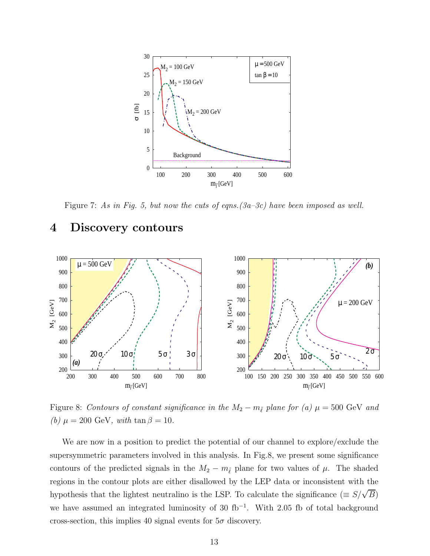

Figure 7: As in Fig. 5, but now the cuts of eqns.(3a–3c) have been imposed as well.

### 4 Discovery contours



Figure 8: Contours of constant significance in the  $M_2 - m_{\tilde{\ell}}$  plane for (a)  $\mu = 500$  GeV and (b)  $\mu = 200 \text{ GeV}$ , with tan  $\beta = 10$ .

We are now in a position to predict the potential of our channel to explore/exclude the supersymmetric parameters involved in this analysis. In Fig.8, we present some significance contours of the predicted signals in the  $M_2 - m_{\tilde{\ell}}$  plane for two values of  $\mu$ . The shaded regions in the contour plots are either disallowed by the LEP data or inconsistent with the hypothesis that the lightest neutralino is the LSP. To calculate the significance ( $\equiv S/\sqrt{B}$ ) we have assumed an integrated luminosity of 30  $fb^{-1}$ . With 2.05 fb of total background cross-section, this implies 40 signal events for  $5\sigma$  discovery.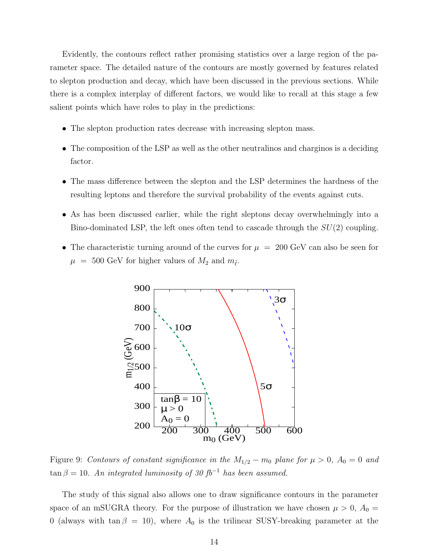Evidently, the contours reflect rather promising statistics over a large region of the parameter space. The detailed nature of the contours are mostly governed by features related to slepton production and decay, which have been discussed in the previous sections. While there is a complex interplay of different factors, we would like to recall at this stage a few salient points which have roles to play in the predictions:

- The slepton production rates decrease with increasing slepton mass.
- The composition of the LSP as well as the other neutralinos and charginos is a deciding factor.
- The mass difference between the slepton and the LSP determines the hardness of the resulting leptons and therefore the survival probability of the events against cuts.
- As has been discussed earlier, while the right sleptons decay overwhelmingly into a Bino-dominated LSP, the left ones often tend to cascade through the  $SU(2)$  coupling.
- The characteristic turning around of the curves for  $\mu = 200 \text{ GeV}$  can also be seen for  $\mu$  = 500 GeV for higher values of  $M_2$  and  $m_{\tilde{\ell}}$ .



Figure 9: Contours of constant significance in the  $M_{1/2} - m_0$  plane for  $\mu > 0$ ,  $A_0 = 0$  and  $\tan \beta = 10$ . An integrated luminosity of 30 fb<sup>-1</sup> has been assumed.

The study of this signal also allows one to draw significance contours in the parameter space of an mSUGRA theory. For the purpose of illustration we have chosen  $\mu > 0$ ,  $A_0 =$ 0 (always with tan  $\beta = 10$ ), where  $A_0$  is the trilinear SUSY-breaking parameter at the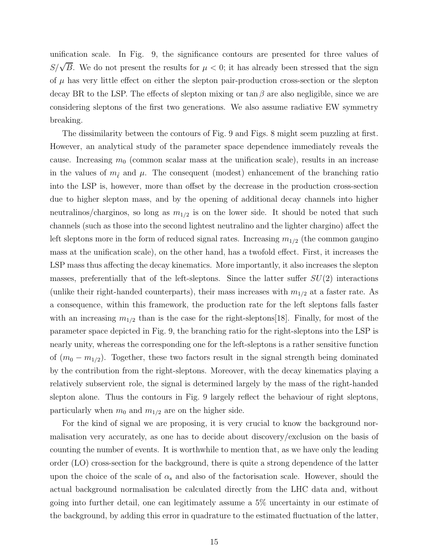unification scale. In Fig. 9, the significance contours are presented for three values of  $S/\sqrt{B}$ . We do not present the results for  $\mu < 0$ ; it has already been stressed that the sign of  $\mu$  has very little effect on either the slepton pair-production cross-section or the slepton decay BR to the LSP. The effects of slepton mixing or  $\tan \beta$  are also negligible, since we are considering sleptons of the first two generations. We also assume radiative EW symmetry breaking.

The dissimilarity between the contours of Fig. 9 and Figs. 8 might seem puzzling at first. However, an analytical study of the parameter space dependence immediately reveals the cause. Increasing  $m_0$  (common scalar mass at the unification scale), results in an increase in the values of  $m_{\tilde{\ell}}$  and  $\mu$ . The consequent (modest) enhancement of the branching ratio into the LSP is, however, more than offset by the decrease in the production cross-section due to higher slepton mass, and by the opening of additional decay channels into higher neutralinos/charginos, so long as  $m_{1/2}$  is on the lower side. It should be noted that such channels (such as those into the second lightest neutralino and the lighter chargino) affect the left sleptons more in the form of reduced signal rates. Increasing  $m_{1/2}$  (the common gaugino mass at the unification scale), on the other hand, has a twofold effect. First, it increases the LSP mass thus affecting the decay kinematics. More importantly, it also increases the slepton masses, preferentially that of the left-sleptons. Since the latter suffer  $SU(2)$  interactions (unlike their right-handed counterparts), their mass increases with  $m_{1/2}$  at a faster rate. As a consequence, within this framework, the production rate for the left sleptons falls faster with an increasing  $m_{1/2}$  than is the case for the right-sleptons [18]. Finally, for most of the parameter space depicted in Fig. 9, the branching ratio for the right-sleptons into the LSP is nearly unity, whereas the corresponding one for the left-sleptons is a rather sensitive function of  $(m_0 - m_{1/2})$ . Together, these two factors result in the signal strength being dominated by the contribution from the right-sleptons. Moreover, with the decay kinematics playing a relatively subservient role, the signal is determined largely by the mass of the right-handed slepton alone. Thus the contours in Fig. 9 largely reflect the behaviour of right sleptons, particularly when  $m_0$  and  $m_{1/2}$  are on the higher side.

For the kind of signal we are proposing, it is very crucial to know the background normalisation very accurately, as one has to decide about discovery/exclusion on the basis of counting the number of events. It is worthwhile to mention that, as we have only the leading order (LO) cross-section for the background, there is quite a strong dependence of the latter upon the choice of the scale of  $\alpha_s$  and also of the factorisation scale. However, should the actual background normalisation be calculated directly from the LHC data and, without going into further detail, one can legitimately assume a 5% uncertainty in our estimate of the background, by adding this error in quadrature to the estimated fluctuation of the latter,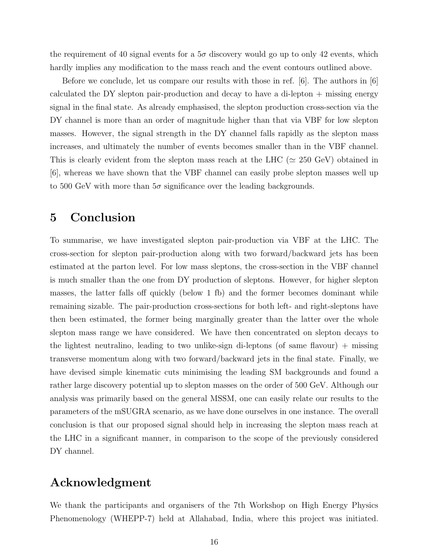the requirement of 40 signal events for a  $5\sigma$  discovery would go up to only 42 events, which hardly implies any modification to the mass reach and the event contours outlined above.

Before we conclude, let us compare our results with those in ref. [6]. The authors in [6] calculated the DY slepton pair-production and decay to have a di-lepton + missing energy signal in the final state. As already emphasised, the slepton production cross-section via the DY channel is more than an order of magnitude higher than that via VBF for low slepton masses. However, the signal strength in the DY channel falls rapidly as the slepton mass increases, and ultimately the number of events becomes smaller than in the VBF channel. This is clearly evident from the slepton mass reach at the LHC ( $\simeq 250$  GeV) obtained in [6], whereas we have shown that the VBF channel can easily probe slepton masses well up to 500 GeV with more than  $5\sigma$  significance over the leading backgrounds.

## 5 Conclusion

To summarise, we have investigated slepton pair-production via VBF at the LHC. The cross-section for slepton pair-production along with two forward/backward jets has been estimated at the parton level. For low mass sleptons, the cross-section in the VBF channel is much smaller than the one from DY production of sleptons. However, for higher slepton masses, the latter falls off quickly (below 1 fb) and the former becomes dominant while remaining sizable. The pair-production cross-sections for both left- and right-sleptons have then been estimated, the former being marginally greater than the latter over the whole slepton mass range we have considered. We have then concentrated on slepton decays to the lightest neutralino, leading to two unlike-sign di-leptons (of same flavour) + missing transverse momentum along with two forward/backward jets in the final state. Finally, we have devised simple kinematic cuts minimising the leading SM backgrounds and found a rather large discovery potential up to slepton masses on the order of 500 GeV. Although our analysis was primarily based on the general MSSM, one can easily relate our results to the parameters of the mSUGRA scenario, as we have done ourselves in one instance. The overall conclusion is that our proposed signal should help in increasing the slepton mass reach at the LHC in a significant manner, in comparison to the scope of the previously considered DY channel.

# Acknowledgment

We thank the participants and organisers of the 7th Workshop on High Energy Physics Phenomenology (WHEPP-7) held at Allahabad, India, where this project was initiated.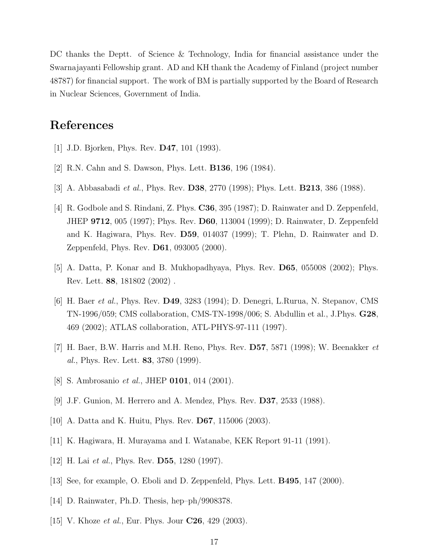DC thanks the Deptt. of Science & Technology, India for financial assistance under the Swarnajayanti Fellowship grant. AD and KH thank the Academy of Finland (project number 48787) for financial support. The work of BM is partially supported by the Board of Research in Nuclear Sciences, Government of India.

### References

- [1] J.D. Bjorken, Phys. Rev. D47, 101 (1993).
- [2] R.N. Cahn and S. Dawson, Phys. Lett. B136, 196 (1984).
- [3] A. Abbasabadi et al., Phys. Rev. D38, 2770 (1998); Phys. Lett. B213, 386 (1988).
- [4] R. Godbole and S. Rindani, Z. Phys. **C36**, 395 (1987); D. Rainwater and D. Zeppenfeld, JHEP 9712, 005 (1997); Phys. Rev. D60, 113004 (1999); D. Rainwater, D. Zeppenfeld and K. Hagiwara, Phys. Rev. D59, 014037 (1999); T. Plehn, D. Rainwater and D. Zeppenfeld, Phys. Rev. D61, 093005 (2000).
- [5] A. Datta, P. Konar and B. Mukhopadhyaya, Phys. Rev. D65, 055008 (2002); Phys. Rev. Lett. 88, 181802 (2002) .
- [6] H. Baer et al., Phys. Rev. D49, 3283 (1994); D. Denegri, L.Rurua, N. Stepanov, CMS TN-1996/059; CMS collaboration, CMS-TN-1998/006; S. Abdullin et al., J.Phys. G28, 469 (2002); ATLAS collaboration, ATL-PHYS-97-111 (1997).
- [7] H. Baer, B.W. Harris and M.H. Reno, Phys. Rev.  $\overline{D57}$ , 5871 (1998); W. Beenakker *et* al., Phys. Rev. Lett. 83, 3780 (1999).
- [8] S. Ambrosanio *et al.*, JHEP **0101**, 014 (2001).
- [9] J.F. Gunion, M. Herrero and A. Mendez, Phys. Rev. D37, 2533 (1988).
- [10] A. Datta and K. Huitu, Phys. Rev. D67, 115006 (2003).
- [11] K. Hagiwara, H. Murayama and I. Watanabe, KEK Report 91-11 (1991).
- [12] H. Lai *et al.*, Phys. Rev. **D55**, 1280 (1997).
- [13] See, for example, O. Eboli and D. Zeppenfeld, Phys. Lett. B495, 147 (2000).
- [14] D. Rainwater, Ph.D. Thesis, hep–ph/9908378.
- [15] V. Khoze *et al.*, Eur. Phys. Jour  $C26$ , 429 (2003).